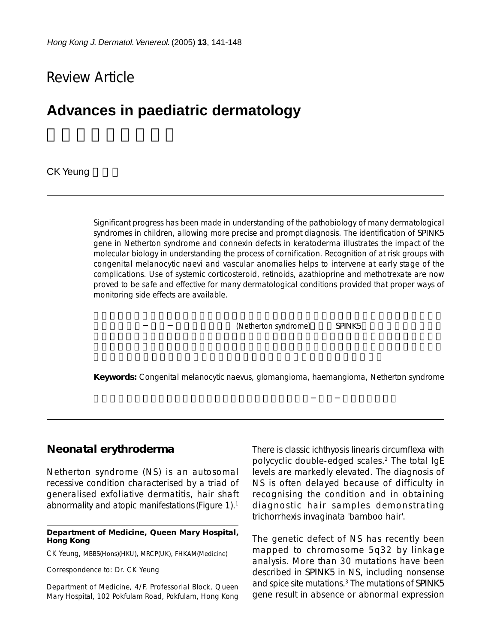# Review Article

# **Advances in paediatric dermatology**

**CK Yeung** 

Significant progress has been made in understanding of the pathobiology of many dermatological syndromes in children, allowing more precise and prompt diagnosis. The identification of *SPINK5* gene in Netherton syndrome and connexin defects in keratoderma illustrates the impact of the molecular biology in understanding the process of cornification. Recognition of at risk groups with congenital melanocytic naevi and vascular anomalies helps to intervene at early stage of the complications. Use of systemic corticosteroid, retinoids, azathioprine and methotrexate are now proved to be safe and effective for many dermatological conditions provided that proper ways of monitoring side effects are available.

(Netherton syndrome) SPINK5

**Keywords:** Congenital melanocytic naevus, glomangioma, haemangioma, Netherton syndrome

#### **Neonatal erythroderma**

Netherton syndrome (NS) is an autosomal recessive condition characterised by a triad of generalised exfoliative dermatitis, hair shaft abnormality and atopic manifestations (Figure 1).1

#### **Department of Medicine, Queen Mary Hospital, Hong Kong**

CK Yeung, MBBS(Hons)(HKU), MRCP(UK), FHKAM(Medicine)

Correspondence to: Dr. CK Yeung

Department of Medicine, 4/F, Professorial Block, Queen Mary Hospital, 102 Pokfulam Road, Pokfulam, Hong Kong There is classic ichthyosis linearis circumflexa with polycyclic double-edged scales.2 The total IgE levels are markedly elevated. The diagnosis of NS is often delayed because of difficulty in recognising the condition and in obtaining diagnostic hair samples demonstrating trichorrhexis invaginata 'bamboo hair'.

The genetic defect of NS has recently been mapped to chromosome 5q32 by linkage analysis. More than 30 mutations have been described in *SPINK5* in NS, including nonsense and spice site mutations.3 The mutations of *SPINK5* gene result in absence or abnormal expression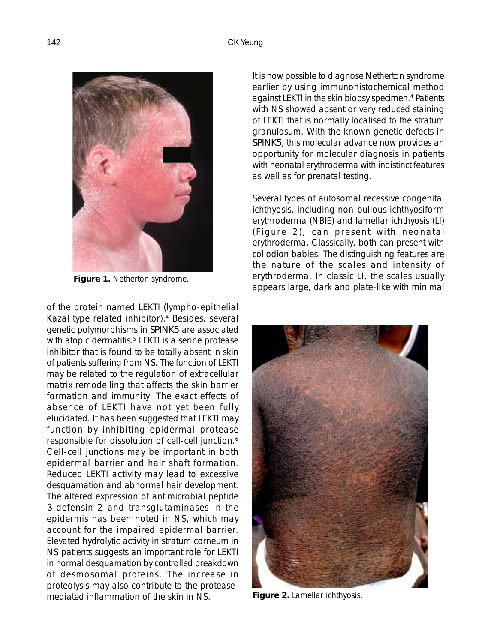

**Figure 1.** Netherton syndrome.

of the protein named LEKTI (lympho-epithelial Kazal type related inhibitor).4 Besides, several genetic polymorphisms in *SPINK5* are associated with atopic dermatitis.<sup>5</sup> LEKTI is a serine protease inhibitor that is found to be totally absent in skin of patients suffering from NS. The function of LEKTI may be related to the regulation of extracellular matrix remodelling that affects the skin barrier formation and immunity. The exact effects of absence of LEKTI have not yet been fully elucidated. It has been suggested that LEKTI may function by inhibiting epidermal protease responsible for dissolution of cell-cell junction.6 Cell-cell junctions may be important in both epidermal barrier and hair shaft formation. Reduced LEKTI activity may lead to excessive desquamation and abnormal hair development. The altered expression of antimicrobial peptide β-defensin 2 and transglutaminases in the epidermis has been noted in NS, which may account for the impaired epidermal barrier. Elevated hydrolytic activity in stratum corneum in NS patients suggests an important role for LEKTI in normal desquamation by controlled breakdown of desmosomal proteins. The increase in proteolysis may also contribute to the proteasemediated inflammation of the skin in NS.

It is now possible to diagnose Netherton syndrome earlier by using immunohistochemical method against LEKTI in the skin biopsy specimen.<sup>4</sup> Patients with NS showed absent or very reduced staining of LEKTI that is normally localised to the stratum granulosum. With the known genetic defects in *SPINK5*, this molecular advance now provides an opportunity for molecular diagnosis in patients with neonatal erythroderma with indistinct features as well as for prenatal testing.

Several types of autosomal recessive congenital ichthyosis, including non-bullous ichthyosiform erythroderma (NBIE) and lamellar ichthyosis (LI) (Figure 2), can present with neonatal erythroderma. Classically, both can present with collodion babies. The distinguishing features are the nature of the scales and intensity of erythroderma. In classic LI, the scales usually appears large, dark and plate-like with minimal



**Figure 2.** Lamellar ichthyosis.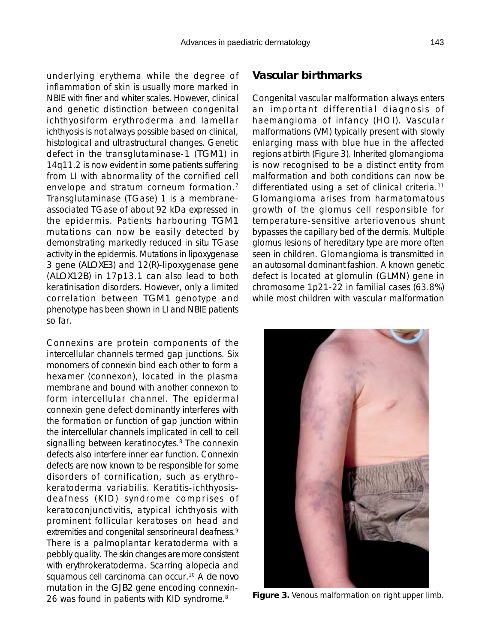underlying erythema while the degree of inflammation of skin is usually more marked in NBIE with finer and whiter scales. However, clinical and genetic distinction between congenital ichthyosiform erythroderma and lamellar ichthyosis is not always possible based on clinical, histological and ultrastructural changes. Genetic defect in the transglutaminase-1 (*TGM1*) in 14q11.2 is now evident in some patients suffering from LI with abnormality of the cornified cell envelope and stratum corneum formation.<sup>7</sup> Transglutaminase (TGase) 1 is a membraneassociated TGase of about 92 kDa expressed in the epidermis. Patients harbouring *TGM1* mutations can now be easily detected by demonstrating markedly reduced in situ TGase activity in the epidermis. Mutations in lipoxygenase 3 gene (*ALOXE3*) and 12(R)-lipoxygenase gene (*ALOX12B*) in 17p13.1 can also lead to both keratinisation disorders. However, only a limited correlation between *TGM1* genotype and phenotype has been shown in LI and NBIE patients so far.

Connexins are protein components of the intercellular channels termed gap junctions. Six monomers of connexin bind each other to form a hexamer (connexon), located in the plasma membrane and bound with another connexon to form intercellular channel. The epidermal connexin gene defect dominantly interferes with the formation or function of gap junction within the intercellular channels implicated in cell to cell signalling between keratinocytes.<sup>8</sup> The connexin defects also interfere inner ear function. Connexin defects are now known to be responsible for some disorders of cornification, such as erythrokeratoderma variabilis. Keratitis-ichthyosisdeafness (KID) syndrome comprises of keratoconjunctivitis, atypical ichthyosis with prominent follicular keratoses on head and extremities and congenital sensorineural deafness.<sup>9</sup> There is a palmoplantar keratoderma with a pebbly quality. The skin changes are more consistent with erythrokeratoderma. Scarring alopecia and squamous cell carcinoma can occur.10 A *de novo* mutation in the *GJB2* gene encoding connexin-26 was found in patients with KID syndrome.<sup>8</sup>

### **Vascular birthmarks**

Congenital vascular malformation always enters an important differential diagnosis of haemangioma of infancy (HOI). Vascular malformations (VM) typically present with slowly enlarging mass with blue hue in the affected regions at birth (Figure 3). Inherited glomangioma is now recognised to be a distinct entity from malformation and both conditions can now be differentiated using a set of clinical criteria.<sup>11</sup> Glomangioma arises from harmatomatous growth of the glomus cell responsible for temperature-sensitive arteriovenous shunt bypasses the capillary bed of the dermis. Multiple glomus lesions of hereditary type are more often seen in children. Glomangioma is transmitted in an autosomal dominant fashion. A known genetic defect is located at glomulin (*GLMN*) gene in chromosome 1p21-22 in familial cases (63.8%) while most children with vascular malformation



**Figure 3.** Venous malformation on right upper limb.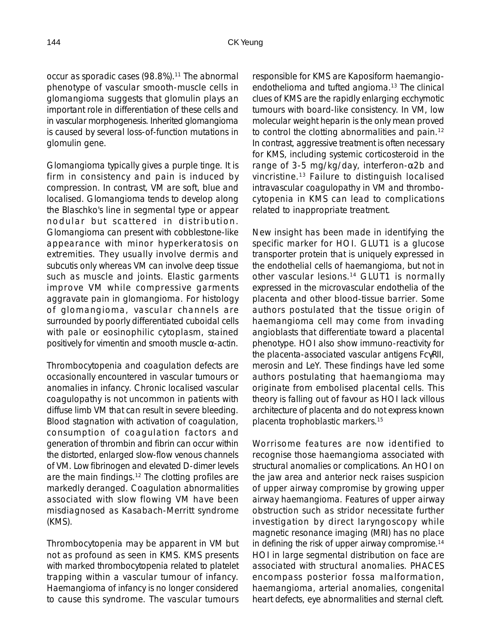occur as sporadic cases (98.8%).<sup>11</sup> The abnormal phenotype of vascular smooth-muscle cells in glomangioma suggests that glomulin plays an important role in differentiation of these cells and in vascular morphogenesis. Inherited glomangioma is caused by several loss-of-function mutations in glomulin gene.

Glomangioma typically gives a purple tinge. It is firm in consistency and pain is induced by compression. In contrast, VM are soft, blue and localised. Glomangioma tends to develop along the Blaschko's line in segmental type or appear nodular but scattered in distribution. Glomangioma can present with cobblestone-like appearance with minor hyperkeratosis on extremities. They usually involve dermis and subcutis only whereas VM can involve deep tissue such as muscle and joints. Elastic garments improve VM while compressive garments aggravate pain in glomangioma. For histology of glomangioma, vascular channels are surrounded by poorly differentiated cuboidal cells with pale or eosinophilic cytoplasm, stained positively for vimentin and smooth muscle  $\alpha$ -actin.

Thrombocytopenia and coagulation defects are occasionally encountered in vascular tumours or anomalies in infancy. Chronic localised vascular coagulopathy is not uncommon in patients with diffuse limb VM that can result in severe bleeding. Blood stagnation with activation of coagulation, consumption of coagulation factors and generation of thrombin and fibrin can occur within the distorted, enlarged slow-flow venous channels of VM. Low fibrinogen and elevated D-dimer levels are the main findings.12 The clotting profiles are markedly deranged. Coagulation abnormalities associated with slow flowing VM have been misdiagnosed as Kasabach-Merritt syndrome (KMS).

Thrombocytopenia may be apparent in VM but not as profound as seen in KMS. KMS presents with marked thrombocytopenia related to platelet trapping within a vascular tumour of infancy. Haemangioma of infancy is no longer considered to cause this syndrome. The vascular tumours

responsible for KMS are Kaposiform haemangioendothelioma and tufted angioma.13 The clinical clues of KMS are the rapidly enlarging ecchymotic tumours with board-like consistency. In VM, low molecular weight heparin is the only mean proved to control the clotting abnormalities and pain.12 In contrast, aggressive treatment is often necessary for KMS, including systemic corticosteroid in the range of 3-5 mg/kg/day, interferon-α2b and vincristine.13 Failure to distinguish localised intravascular coagulopathy in VM and thrombocytopenia in KMS can lead to complications related to inappropriate treatment.

New insight has been made in identifying the specific marker for HOI. GLUT1 is a glucose transporter protein that is uniquely expressed in the endothelial cells of haemangioma, but not in other vascular lesions.<sup>14</sup> GLUT1 is normally expressed in the microvascular endothelia of the placenta and other blood-tissue barrier. Some authors postulated that the tissue origin of haemangioma cell may come from invading angioblasts that differentiate toward a placental phenotype. HOI also show immuno-reactivity for the placenta-associated vascular antigens FcγRII, merosin and LeY. These findings have led some authors postulating that haemangioma may originate from embolised placental cells. This theory is falling out of favour as HOI lack villous architecture of placenta and do not express known placenta trophoblastic markers.15

Worrisome features are now identified to recognise those haemangioma associated with structural anomalies or complications. An HOI on the jaw area and anterior neck raises suspicion of upper airway compromise by growing upper airway haemangioma. Features of upper airway obstruction such as stridor necessitate further investigation by direct laryngoscopy while magnetic resonance imaging (MRI) has no place in defining the risk of upper airway compromise.<sup>14</sup> HOI in large segmental distribution on face are associated with structural anomalies. PHACES encompass posterior fossa malformation, haemangioma, arterial anomalies, congenital heart defects, eye abnormalities and sternal cleft.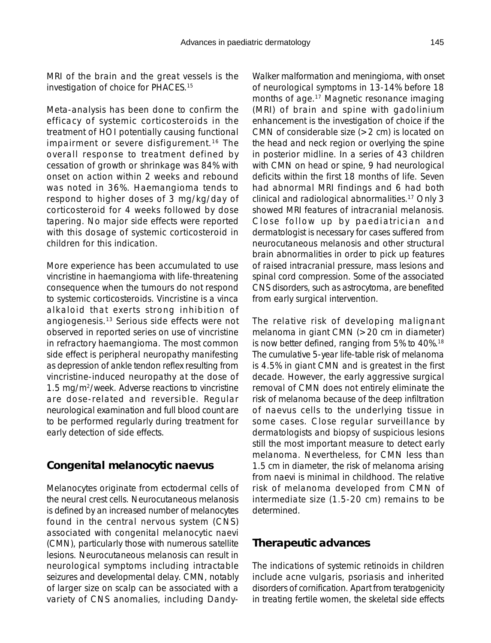MRI of the brain and the great vessels is the investigation of choice for PHACES.15

Meta-analysis has been done to confirm the efficacy of systemic corticosteroids in the treatment of HOI potentially causing functional impairment or severe disfigurement.<sup>16</sup> The overall response to treatment defined by cessation of growth or shrinkage was 84% with onset on action within 2 weeks and rebound was noted in 36%. Haemangioma tends to respond to higher doses of 3 mg/kg/day of corticosteroid for 4 weeks followed by dose tapering. No major side effects were reported with this dosage of systemic corticosteroid in children for this indication.

More experience has been accumulated to use vincristine in haemangioma with life-threatening consequence when the tumours do not respond to systemic corticosteroids. Vincristine is a vinca alkaloid that exerts strong inhibition of angiogenesis.13 Serious side effects were not observed in reported series on use of vincristine in refractory haemangioma. The most common side effect is peripheral neuropathy manifesting as depression of ankle tendon reflex resulting from vincristine-induced neuropathy at the dose of 1.5 mg/m2/week. Adverse reactions to vincristine are dose-related and reversible. Regular neurological examination and full blood count are to be performed regularly during treatment for early detection of side effects.

## **Congenital melanocytic naevus**

Melanocytes originate from ectodermal cells of the neural crest cells. Neurocutaneous melanosis is defined by an increased number of melanocytes found in the central nervous system (CNS) associated with congenital melanocytic naevi (CMN), particularly those with numerous satellite lesions. Neurocutaneous melanosis can result in neurological symptoms including intractable seizures and developmental delay. CMN, notably of larger size on scalp can be associated with a variety of CNS anomalies, including DandyWalker malformation and meningioma, with onset of neurological symptoms in 13-14% before 18 months of age.17 Magnetic resonance imaging (MRI) of brain and spine with gadolinium enhancement is the investigation of choice if the CMN of considerable size (>2 cm) is located on the head and neck region or overlying the spine in posterior midline. In a series of 43 children with CMN on head or spine, 9 had neurological deficits within the first 18 months of life. Seven had abnormal MRI findings and 6 had both clinical and radiological abnormalities.17 Only 3 showed MRI features of intracranial melanosis. Close follow up by paediatrician and dermatologist is necessary for cases suffered from neurocutaneous melanosis and other structural brain abnormalities in order to pick up features of raised intracranial pressure, mass lesions and spinal cord compression. Some of the associated CNS disorders, such as astrocytoma, are benefited from early surgical intervention.

The relative risk of developing malignant melanoma in giant CMN (>20 cm in diameter) is now better defined, ranging from 5% to 40%.18 The cumulative 5-year life-table risk of melanoma is 4.5% in giant CMN and is greatest in the first decade. However, the early aggressive surgical removal of CMN does not entirely eliminate the risk of melanoma because of the deep infiltration of naevus cells to the underlying tissue in some cases. Close regular surveillance by dermatologists and biopsy of suspicious lesions still the most important measure to detect early melanoma. Nevertheless, for CMN less than 1.5 cm in diameter, the risk of melanoma arising from naevi is minimal in childhood. The relative risk of melanoma developed from CMN of intermediate size (1.5-20 cm) remains to be determined.

### **Therapeutic advances**

The indications of systemic retinoids in children include acne vulgaris, psoriasis and inherited disorders of cornification. Apart from teratogenicity in treating fertile women, the skeletal side effects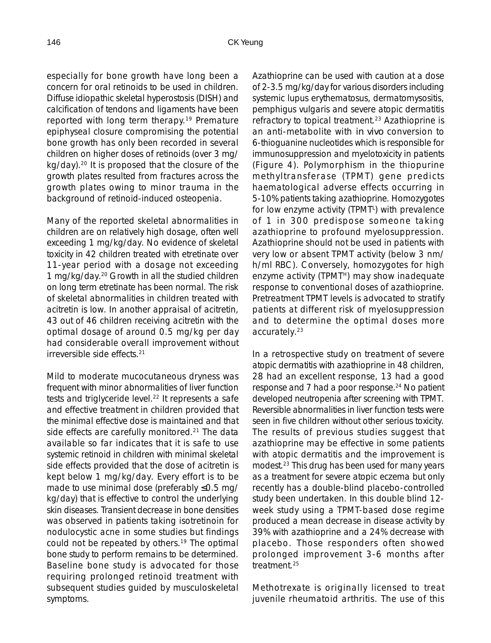especially for bone growth have long been a concern for oral retinoids to be used in children. Diffuse idiopathic skeletal hyperostosis (DISH) and calcification of tendons and ligaments have been reported with long term therapy.19 Premature epiphyseal closure compromising the potential bone growth has only been recorded in several children on higher doses of retinoids (over 3 mg/ kg/day).20 It is proposed that the closure of the growth plates resulted from fractures across the growth plates owing to minor trauma in the background of retinoid-induced osteopenia.

Many of the reported skeletal abnormalities in children are on relatively high dosage, often well exceeding 1 mg/kg/day. No evidence of skeletal toxicity in 42 children treated with etretinate over 11-year period with a dosage not exceeding 1 mg/kg/day.20 Growth in all the studied children on long term etretinate has been normal. The risk of skeletal abnormalities in children treated with acitretin is low. In another appraisal of acitretin, 43 out of 46 children receiving acitretin with the optimal dosage of around 0.5 mg/kg per day had considerable overall improvement without irreversible side effects.21

Mild to moderate mucocutaneous dryness was frequent with minor abnormalities of liver function tests and triglyceride level.<sup>22</sup> It represents a safe and effective treatment in children provided that the minimal effective dose is maintained and that side effects are carefully monitored.<sup>21</sup> The data available so far indicates that it is safe to use systemic retinoid in children with minimal skeletal side effects provided that the dose of acitretin is kept below 1 mg/kg/day. Every effort is to be made to use minimal dose (preferably ≤0.5 mg/ kg/day) that is effective to control the underlying skin diseases. Transient decrease in bone densities was observed in patients taking isotretinoin for nodulocystic acne in some studies but findings could not be repeated by others.19 The optimal bone study to perform remains to be determined. Baseline bone study is advocated for those requiring prolonged retinoid treatment with subsequent studies guided by musculoskeletal symptoms.

Azathioprine can be used with caution at a dose of 2-3.5 mg/kg/day for various disorders including systemic lupus erythematosus, dermatomysositis, pemphigus vulgaris and severe atopic dermatitis refractory to topical treatment.<sup>23</sup> Azathioprine is an anti-metabolite with *in vivo* conversion to 6-thioguanine nucleotides which is responsible for immunosuppression and myelotoxicity in patients (Figure 4). Polymorphism in the thiopurine methyltransferase (TPMT) gene predicts haematological adverse effects occurring in 5-10% patients taking azathioprine. Homozygotes for low enzyme activity (TPMT<sup>L</sup>) with prevalence of 1 in 300 predispose someone taking azathioprine to profound myelosuppression. Azathioprine should not be used in patients with very low or absent TPMT activity (below 3 nm/ h/ml RBC). Conversely, homozygotes for high enzyme activity (TPMT<sup>H</sup>) may show inadequate response to conventional doses of azathioprine. Pretreatment TPMT levels is advocated to stratify patients at different risk of myelosuppression and to determine the optimal doses more accurately.23

In a retrospective study on treatment of severe atopic dermatitis with azathioprine in 48 children, 28 had an excellent response, 13 had a good response and 7 had a poor response.<sup>24</sup> No patient developed neutropenia after screening with TPMT. Reversible abnormalities in liver function tests were seen in five children without other serious toxicity. The results of previous studies suggest that azathioprine may be effective in some patients with atopic dermatitis and the improvement is modest.23 This drug has been used for many years as a treatment for severe atopic eczema but only recently has a double-blind placebo-controlled study been undertaken. In this double blind 12 week study using a TPMT-based dose regime produced a mean decrease in disease activity by 39% with azathioprine and a 24% decrease with placebo. Those responders often showed prolonged improvement 3-6 months after treatment.25

Methotrexate is originally licensed to treat juvenile rheumatoid arthritis. The use of this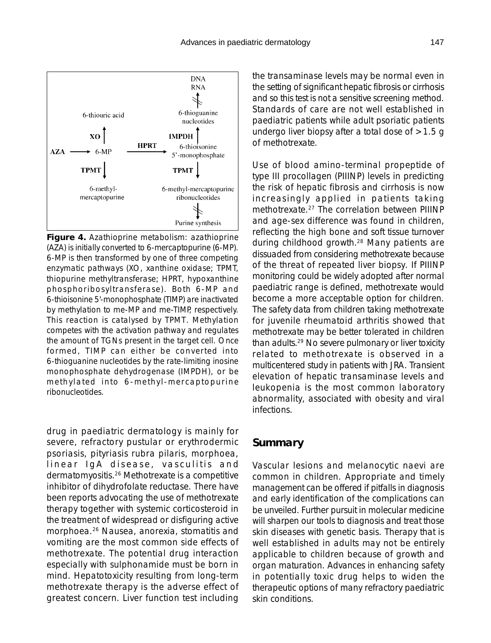

**Figure 4.** Azathioprine metabolism: azathioprine (AZA) is initially converted to 6-mercaptopurine (6-MP). 6-MP is then transformed by one of three competing enzymatic pathways (XO, xanthine oxidase; TPMT, thiopurine methyltransferase; HPRT, hypoxanthine phosphoribosyltransferase). Both 6-MP and 6-thioisonine 5'-monophosphate (TIMP) are inactivated by methylation to me-MP and me-TIMP, respectively. This reaction is catalysed by TPMT. Methylation competes with the activation pathway and regulates the amount of TGNs present in the target cell. Once formed, TIMP can either be converted into 6-thioguanine nucleotides by the rate-limiting inosine monophosphate dehydrogenase (IMPDH), or be methylated into 6-methyl-mercaptopurine ribonucleotides.

drug in paediatric dermatology is mainly for severe, refractory pustular or erythrodermic psoriasis, pityriasis rubra pilaris, morphoea, linear IgA disease, vasculitis and dermatomyositis.26 Methotrexate is a competitive inhibitor of dihydrofolate reductase. There have been reports advocating the use of methotrexate therapy together with systemic corticosteroid in the treatment of widespread or disfiguring active morphoea.26 Nausea, anorexia, stomatitis and vomiting are the most common side effects of methotrexate. The potential drug interaction especially with sulphonamide must be born in mind. Hepatotoxicity resulting from long-term methotrexate therapy is the adverse effect of greatest concern. Liver function test including

the transaminase levels may be normal even in the setting of significant hepatic fibrosis or cirrhosis and so this test is not a sensitive screening method. Standards of care are not well established in paediatric patients while adult psoriatic patients undergo liver biopsy after a total dose of  $>1.5$  g of methotrexate.

Use of blood amino-terminal propeptide of type III procollagen (PIIINP) levels in predicting the risk of hepatic fibrosis and cirrhosis is now increasingly applied in patients taking methotrexate.27 The correlation between PIIINP and age-sex difference was found in children, reflecting the high bone and soft tissue turnover during childhood growth.28 Many patients are dissuaded from considering methotrexate because of the threat of repeated liver biopsy. If PIIINP monitoring could be widely adopted after normal paediatric range is defined, methotrexate would become a more acceptable option for children. The safety data from children taking methotrexate for juvenile rheumatoid arthritis showed that methotrexate may be better tolerated in children than adults.29 No severe pulmonary or liver toxicity related to methotrexate is observed in a multicentered study in patients with JRA. Transient elevation of hepatic transaminase levels and leukopenia is the most common laboratory abnormality, associated with obesity and viral infections.

#### **Summary**

Vascular lesions and melanocytic naevi are common in children. Appropriate and timely management can be offered if pitfalls in diagnosis and early identification of the complications can be unveiled. Further pursuit in molecular medicine will sharpen our tools to diagnosis and treat those skin diseases with genetic basis. Therapy that is well established in adults may not be entirely applicable to children because of growth and organ maturation. Advances in enhancing safety in potentially toxic drug helps to widen the therapeutic options of many refractory paediatric skin conditions.